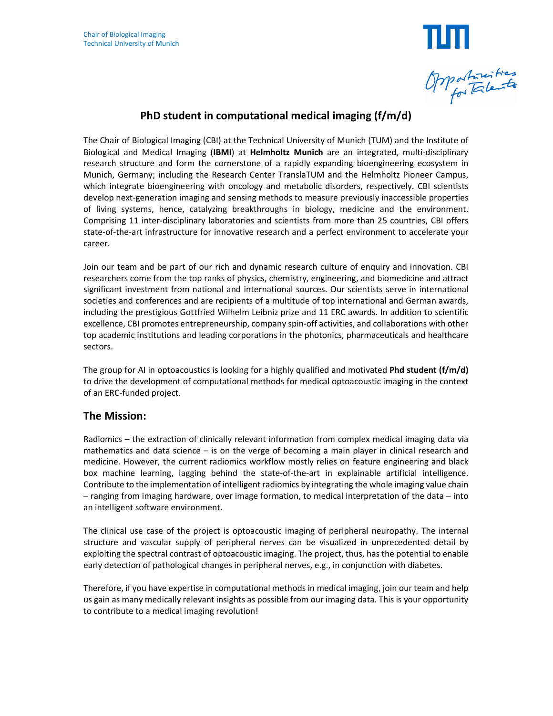

# **PhD student in computational medical imaging (f/m/d)**

The Chair of Biological Imaging (CBI) at the Technical University of Munich (TUM) and the Institute of Biological and Medical Imaging (**IBMI**) at **Helmholtz Munich** are an integrated, multi-disciplinary research structure and form the cornerstone of a rapidly expanding bioengineering ecosystem in Munich, Germany; including the Research Center TranslaTUM and the Helmholtz Pioneer Campus, which integrate bioengineering with oncology and metabolic disorders, respectively. CBI scientists develop next-generation imaging and sensing methods to measure previously inaccessible properties of living systems, hence, catalyzing breakthroughs in biology, medicine and the environment. Comprising 11 inter-disciplinary laboratories and scientists from more than 25 countries, CBI offers state-of-the-art infrastructure for innovative research and a perfect environment to accelerate your career.

Join our team and be part of our rich and dynamic research culture of enquiry and innovation. CBI researchers come from the top ranks of physics, chemistry, engineering, and biomedicine and attract significant investment from national and international sources. Our scientists serve in international societies and conferences and are recipients of a multitude of top international and German awards, including the prestigious Gottfried Wilhelm Leibniz prize and 11 ERC awards. In addition to scientific excellence, CBI promotes entrepreneurship, company spin-off activities, and collaborations with other top academic institutions and leading corporations in the photonics, pharmaceuticals and healthcare sectors.

The group for AI in optoacoustics is looking for a highly qualified and motivated **Phd student (f/m/d)**  to drive the development of computational methods for medical optoacoustic imaging in the context of an ERC-funded project.

## **The Mission:**

Radiomics – the extraction of clinically relevant information from complex medical imaging data via mathematics and data science  $-$  is on the verge of becoming a main player in clinical research and medicine. However, the current radiomics workflow mostly relies on feature engineering and black box machine learning, lagging behind the state-of-the-art in explainable artificial intelligence. Contribute to the implementation of intelligent radiomics by integrating the whole imaging value chain – ranging from imaging hardware, over image formation, to medical interpretation of the data – into an intelligent software environment.

The clinical use case of the project is optoacoustic imaging of peripheral neuropathy. The internal structure and vascular supply of peripheral nerves can be visualized in unprecedented detail by exploiting the spectral contrast of optoacoustic imaging. The project, thus, has the potential to enable early detection of pathological changes in peripheral nerves, e.g., in conjunction with diabetes.

Therefore, if you have expertise in computational methods in medical imaging, join our team and help us gain as many medically relevant insights as possible from our imaging data. This is your opportunity to contribute to a medical imaging revolution!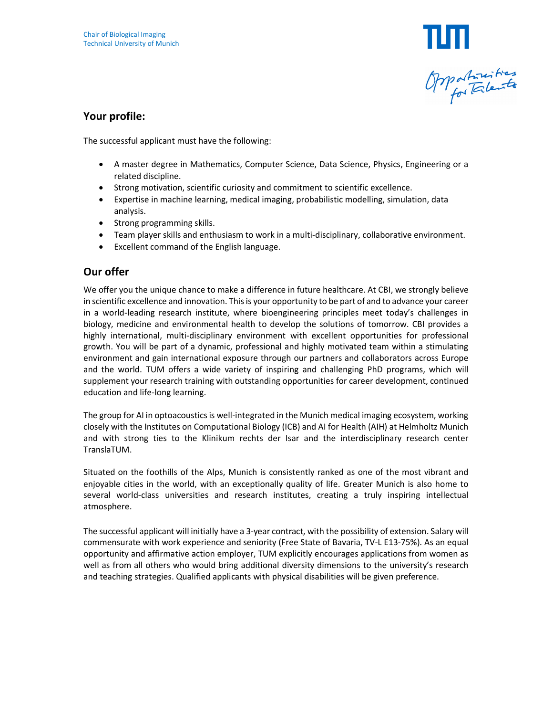

#### **Your profile:**

The successful applicant must have the following:

- A master degree in Mathematics, Computer Science, Data Science, Physics, Engineering or a related discipline.
- Strong motivation, scientific curiosity and commitment to scientific excellence.
- Expertise in machine learning, medical imaging, probabilistic modelling, simulation, data analysis.
- Strong programming skills.
- Team player skills and enthusiasm to work in a multi-disciplinary, collaborative environment.
- Excellent command of the English language.

#### **Our offer**

We offer you the unique chance to make a difference in future healthcare. At CBI, we strongly believe in scientific excellence and innovation. This is your opportunity to be part of and to advance your career in a world-leading research institute, where bioengineering principles meet today's challenges in biology, medicine and environmental health to develop the solutions of tomorrow. CBI provides a highly international, multi-disciplinary environment with excellent opportunities for professional growth. You will be part of a dynamic, professional and highly motivated team within a stimulating environment and gain international exposure through our partners and collaborators across Europe and the world. TUM offers a wide variety of inspiring and challenging PhD programs, which will supplement your research training with outstanding opportunities for career development, continued education and life-long learning.

The group for AI in optoacoustics is well-integrated in the Munich medical imaging ecosystem, working closely with the Institutes on Computational Biology (ICB) and AI for Health (AIH) at Helmholtz Munich and with strong ties to the Klinikum rechts der Isar and the interdisciplinary research center TranslaTUM.

Situated on the foothills of the Alps, Munich is consistently ranked as one of the most vibrant and enjoyable cities in the world, with an exceptionally quality of life. Greater Munich is also home to several world-class universities and research institutes, creating a truly inspiring intellectual atmosphere.

The successful applicant will initially have a 3-year contract, with the possibility of extension. Salary will commensurate with work experience and seniority (Free State of Bavaria, TV-L E13-75%). As an equal opportunity and affirmative action employer, TUM explicitly encourages applications from women as well as from all others who would bring additional diversity dimensions to the university's research and teaching strategies. Qualified applicants with physical disabilities will be given preference.